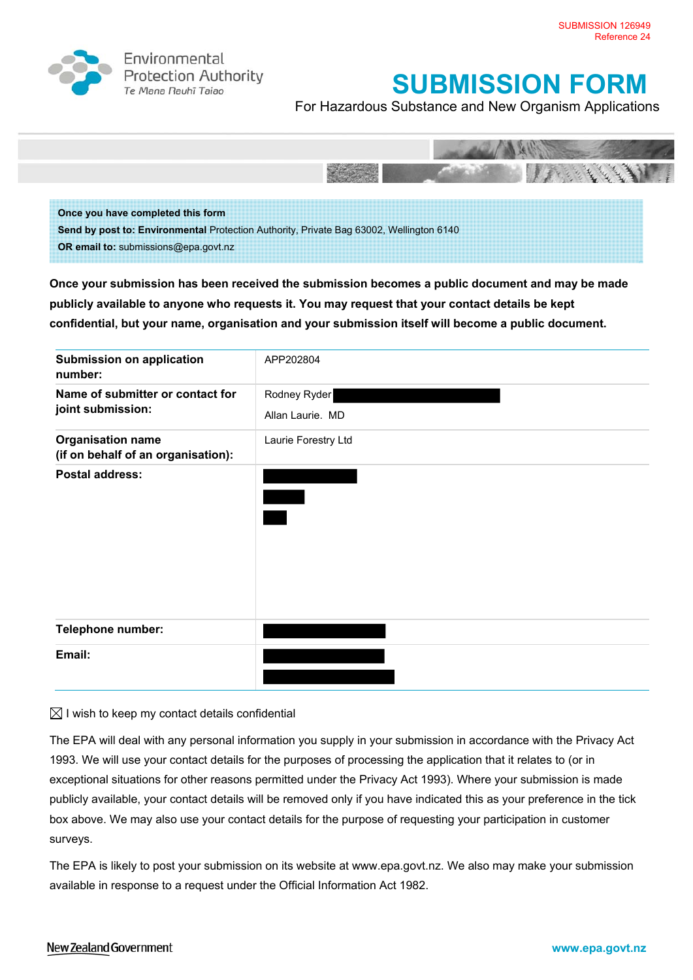

Environmental **Protection Authority** Te Mana Rauhī Tajao

# **SUBMISSION FORM**

For Hazardous Substance and New Organism Applications



**Send by post to: Environmental** Protection Authority, Private Bag 63002, Wellington 6140 **OR email to:** submissions@epa.govt.nz

**Once your submission has been received the submission becomes a public document and may be made publicly available to anyone who requests it. You may request that your contact details be kept confidential, but your name, organisation and your submission itself will become a public document.** 

| <b>Submission on application</b><br>number:                    | APP202804                        |
|----------------------------------------------------------------|----------------------------------|
| Name of submitter or contact for<br>joint submission:          | Rodney Ryder<br>Allan Laurie. MD |
| <b>Organisation name</b><br>(if on behalf of an organisation): | Laurie Forestry Ltd              |
| <b>Postal address:</b>                                         |                                  |
| <b>Telephone number:</b>                                       |                                  |
| Email:                                                         |                                  |

## $\boxtimes$  I wish to keep my contact details confidential

The EPA will deal with any personal information you supply in your submission in accordance with the Privacy Act 1993. We will use your contact details for the purposes of processing the application that it relates to (or in exceptional situations for other reasons permitted under the Privacy Act 1993). Where your submission is made publicly available, your contact details will be removed only if you have indicated this as your preference in the tick box above. We may also use your contact details for the purpose of requesting your participation in customer surveys.

The EPA is likely to post your submission on its website at www.epa.govt.nz. We also may make your submission available in response to a request under the Official Information Act 1982.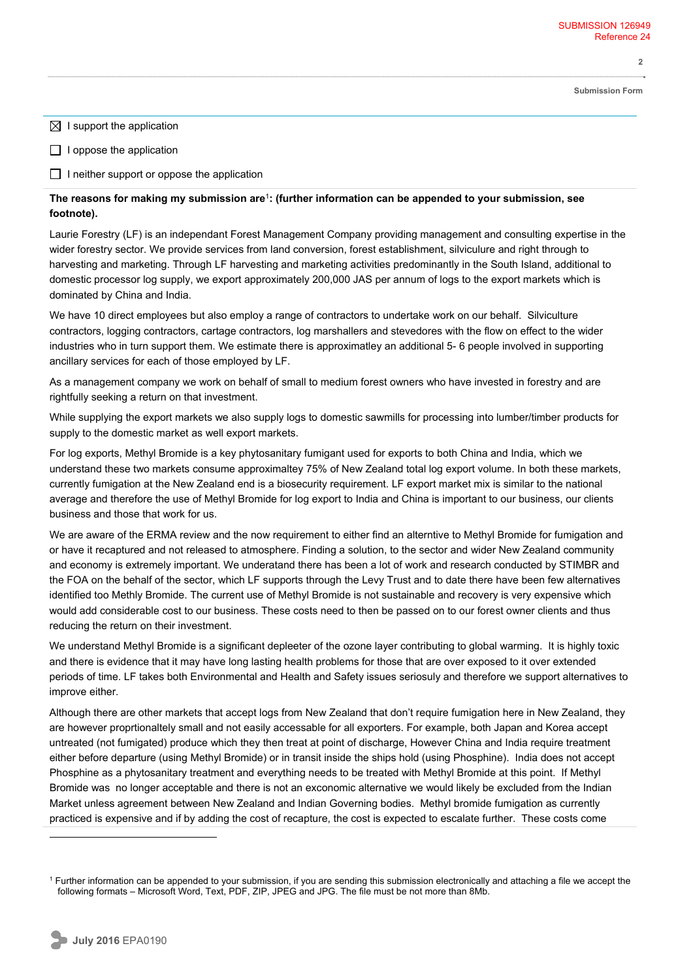**Submission Form**

**2** 

 $\boxtimes$  I support the application

 $\Box$  I oppose the application

 $\Box$  I neither support or oppose the application

## **The reasons for making my submission are**<sup>1</sup>**: (further information can be appended to your submission, see footnote).**

Laurie Forestry (LF) is an independant Forest Management Company providing management and consulting expertise in the wider forestry sector. We provide services from land conversion, forest establishment, silviculure and right through to harvesting and marketing. Through LF harvesting and marketing activities predominantly in the South Island, additional to domestic processor log supply, we export approximately 200,000 JAS per annum of logs to the export markets which is dominated by China and India.

We have 10 direct employees but also employ a range of contractors to undertake work on our behalf. Silviculture contractors, logging contractors, cartage contractors, log marshallers and stevedores with the flow on effect to the wider industries who in turn support them. We estimate there is approximatley an additional 5- 6 people involved in supporting ancillary services for each of those employed by LF.

As a management company we work on behalf of small to medium forest owners who have invested in forestry and are rightfully seeking a return on that investment.

While supplying the export markets we also supply logs to domestic sawmills for processing into lumber/timber products for supply to the domestic market as well export markets.

For log exports, Methyl Bromide is a key phytosanitary fumigant used for exports to both China and India, which we understand these two markets consume approximaltey 75% of New Zealand total log export volume. In both these markets, currently fumigation at the New Zealand end is a biosecurity requirement. LF export market mix is similar to the national average and therefore the use of Methyl Bromide for log export to India and China is important to our business, our clients business and those that work for us.

We are aware of the ERMA review and the now requirement to either find an alterntive to Methyl Bromide for fumigation and or have it recaptured and not released to atmosphere. Finding a solution, to the sector and wider New Zealand community and economy is extremely important. We underatand there has been a lot of work and research conducted by STIMBR and the FOA on the behalf of the sector, which LF supports through the Levy Trust and to date there have been few alternatives identified too Methly Bromide. The current use of Methyl Bromide is not sustainable and recovery is very expensive which would add considerable cost to our business. These costs need to then be passed on to our forest owner clients and thus reducing the return on their investment.

We understand Methyl Bromide is a significant depleeter of the ozone layer contributing to global warming. It is highly toxic and there is evidence that it may have long lasting health problems for those that are over exposed to it over extended periods of time. LF takes both Environmental and Health and Safety issues seriosuly and therefore we support alternatives to improve either.

Although there are other markets that accept logs from New Zealand that don't require fumigation here in New Zealand, they are however proprtionaltely small and not easily accessable for all exporters. For example, both Japan and Korea accept untreated (not fumigated) produce which they then treat at point of discharge, However China and India require treatment either before departure (using Methyl Bromide) or in transit inside the ships hold (using Phosphine). India does not accept Phosphine as a phytosanitary treatment and everything needs to be treated with Methyl Bromide at this point. If Methyl Bromide was no longer acceptable and there is not an exconomic alternative we would likely be excluded from the Indian Market unless agreement between New Zealand and Indian Governing bodies. Methyl bromide fumigation as currently practiced is expensive and if by adding the cost of recapture, the cost is expected to escalate further. These costs come

 $\overline{a}$ 

<sup>&</sup>lt;sup>1</sup> Further information can be appended to your submission, if you are sending this submission electronically and attaching a file we accept the following formats – Microsoft Word, Text, PDF, ZIP, JPEG and JPG. The file must be not more than 8Mb.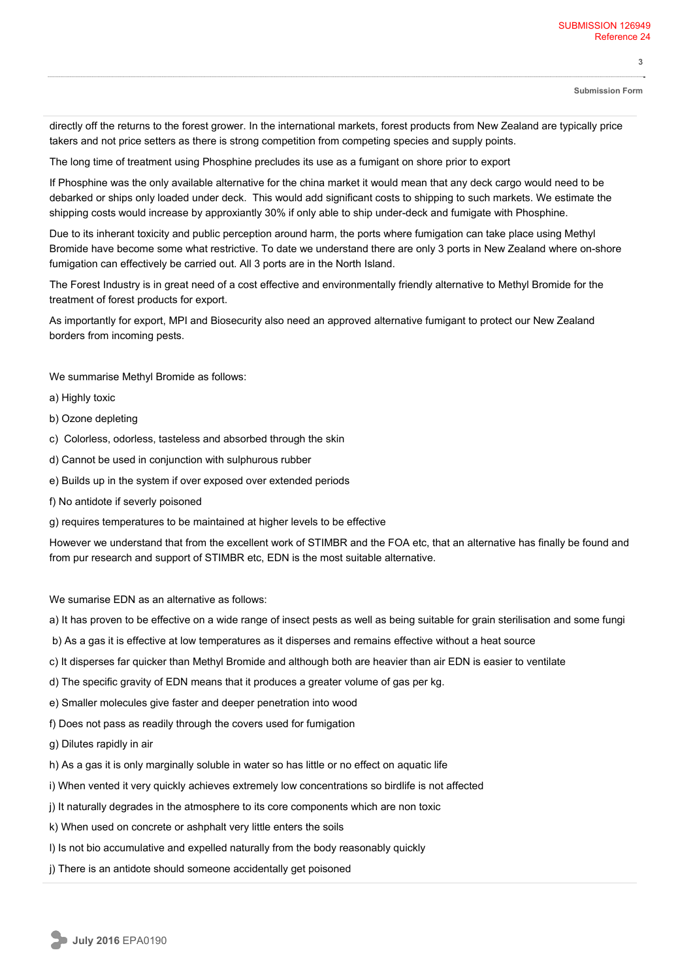**3** 

directly off the returns to the forest grower. In the international markets, forest products from New Zealand are typically price takers and not price setters as there is strong competition from competing species and supply points.

The long time of treatment using Phosphine precludes its use as a fumigant on shore prior to export

If Phosphine was the only available alternative for the china market it would mean that any deck cargo would need to be debarked or ships only loaded under deck. This would add significant costs to shipping to such markets. We estimate the shipping costs would increase by approxiantly 30% if only able to ship under-deck and fumigate with Phosphine.

Due to its inherant toxicity and public perception around harm, the ports where fumigation can take place using Methyl Bromide have become some what restrictive. To date we understand there are only 3 ports in New Zealand where on-shore fumigation can effectively be carried out. All 3 ports are in the North Island.

The Forest Industry is in great need of a cost effective and environmentally friendly alternative to Methyl Bromide for the treatment of forest products for export.

As importantly for export, MPI and Biosecurity also need an approved alternative fumigant to protect our New Zealand borders from incoming pests.

We summarise Methyl Bromide as follows:

- a) Highly toxic
- b) Ozone depleting
- c) Colorless, odorless, tasteless and absorbed through the skin
- d) Cannot be used in conjunction with sulphurous rubber
- e) Builds up in the system if over exposed over extended periods
- f) No antidote if severly poisoned
- g) requires temperatures to be maintained at higher levels to be effective

However we understand that from the excellent work of STIMBR and the FOA etc, that an alternative has finally be found and from pur research and support of STIMBR etc, EDN is the most suitable alternative.

We sumarise EDN as an alternative as follows:

- a) It has proven to be effective on a wide range of insect pests as well as being suitable for grain sterilisation and some fungi
- b) As a gas it is effective at low temperatures as it disperses and remains effective without a heat source
- c) It disperses far quicker than Methyl Bromide and although both are heavier than air EDN is easier to ventilate
- d) The specific gravity of EDN means that it produces a greater volume of gas per kg.
- e) Smaller molecules give faster and deeper penetration into wood
- f) Does not pass as readily through the covers used for fumigation

g) Dilutes rapidly in air

- h) As a gas it is only marginally soluble in water so has little or no effect on aquatic life
- i) When vented it very quickly achieves extremely low concentrations so birdlife is not affected
- j) It naturally degrades in the atmosphere to its core components which are non toxic
- k) When used on concrete or ashphalt very little enters the soils
- l) Is not bio accumulative and expelled naturally from the body reasonably quickly
- j) There is an antidote should someone accidentally get poisoned